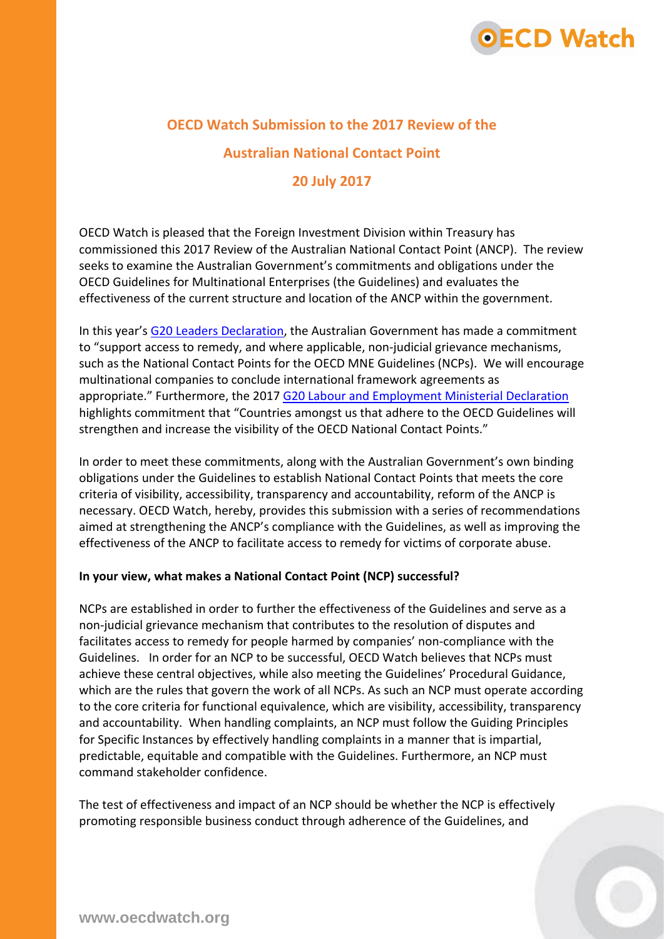

# **OECD Watch Submission to the 2017 Review of the**

#### **Australian National Contact Point**

# **20 July 2017**

OECD Watch is pleased that the Foreign Investment Division within Treasury has commissioned this 2017 Review of the Australian National Contact Point (ANCP). The review seeks to examine the Australian Government's commitments and obligations under the OECD Guidelines for Multinational Enterprises (the Guidelines) and evaluates the effectiveness of the current structure and location of the ANCP within the government.

In this year's [G20 Leaders Declaration,](http://www.iol.co.za/business-report/shaping-an-interconnected-world--read-g20-2017-leaders-declaration-10197517) the Australian Government has made a commitment to "support access to remedy, and where applicable, non-judicial grievance mechanisms, such as the National Contact Points for the OECD MNE Guidelines (NCPs). We will encourage multinational companies to conclude international framework agreements as appropriate." Furthermore, the 2017 [G20 Labour and Employment Ministerial Declaration](https://www.employment.gov.au/news/g20-labour-and-employment-ministerial-declaration-released) highlights commitment that "Countries amongst us that adhere to the OECD Guidelines will strengthen and increase the visibility of the OECD National Contact Points."

In order to meet these commitments, along with the Australian Government's own binding obligations under the Guidelines to establish National Contact Points that meets the core criteria of visibility, accessibility, transparency and accountability, reform of the ANCP is necessary. OECD Watch, hereby, provides this submission with a series of recommendations aimed at strengthening the ANCP's compliance with the Guidelines, as well as improving the effectiveness of the ANCP to facilitate access to remedy for victims of corporate abuse.

#### **In your view, what makes a National Contact Point (NCP) successful?**

NCPs are established in order to further the effectiveness of the Guidelines and serve as a non-judicial grievance mechanism that contributes to the resolution of disputes and facilitates access to remedy for people harmed by companies' non-compliance with the Guidelines. In order for an NCP to be successful, OECD Watch believes that NCPs must achieve these central objectives, while also meeting the Guidelines' Procedural Guidance, which are the rules that govern the work of all NCPs. As such an NCP must operate according to the core criteria for functional equivalence, which are visibility, accessibility, transparency and accountability. When handling complaints, an NCP must follow the Guiding Principles for Specific Instances by effectively handling complaints in a manner that is impartial, predictable, equitable and compatible with the Guidelines. Furthermore, an NCP must command stakeholder confidence.

The test of effectiveness and impact of an NCP should be whether the NCP is effectively promoting responsible business conduct through adherence of the Guidelines, and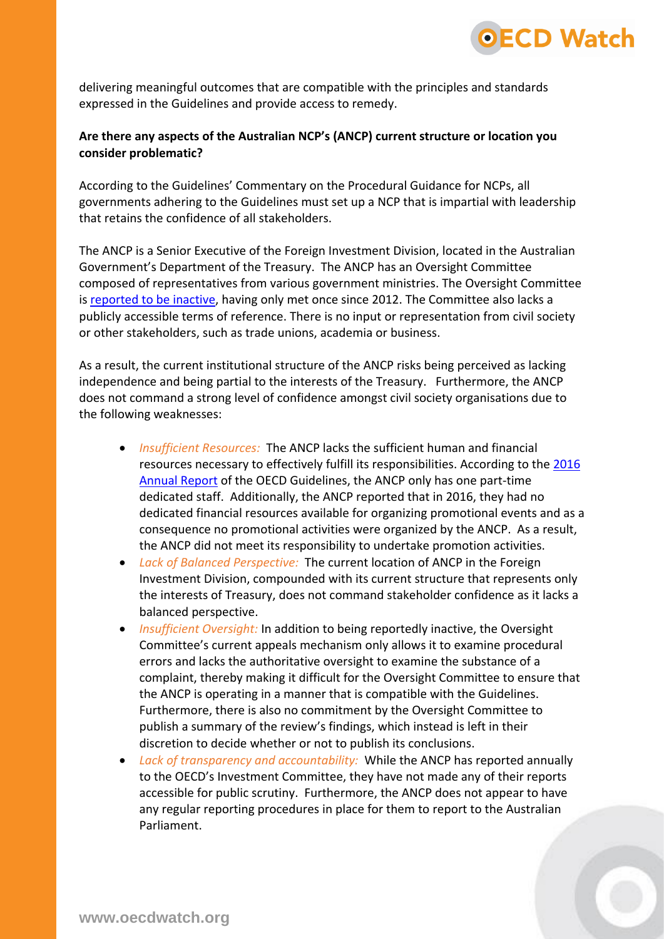

delivering meaningful outcomes that are compatible with the principles and standards expressed in the Guidelines and provide access to remedy.

## **Are there any aspects of the Australian NCP's (ANCP) current structure or location you consider problematic?**

According to the Guidelines' Commentary on the Procedural Guidance for NCPs, all governments adhering to the Guidelines must set up a NCP that is impartial with leadership that retains the confidence of all stakeholders.

The ANCP is a Senior Executive of the Foreign Investment Division, located in the Australian Government's Department of the Treasury. The ANCP has an Oversight Committee composed of representatives from various government ministries. The Oversight Committee is [reported to be inactive,](https://static1.squarespace.com/static/57e140116a4963b5a1ad9780/t/580d7b7bb3db2b51a441a6e8/1477278601503/NJM16_OECD.pdf) having only met once since 2012. The Committee also lacks a publicly accessible terms of reference. There is no input or representation from civil society or other stakeholders, such as trade unions, academia or business.

As a result, the current institutional structure of the ANCP risks being perceived as lacking independence and being partial to the interests of the Treasury. Furthermore, the ANCP does not command a strong level of confidence amongst civil society organisations due to the following weaknesses:

- *Insufficient Resources:* The ANCP lacks the sufficient human and financial resources necessary to effectively fulfill its responsibilities. According to the [2016](http://www.oecd.org/investment/mne/annualreportsontheguidelines.htm)  [Annual Report](http://www.oecd.org/investment/mne/annualreportsontheguidelines.htm) of the OECD Guidelines, the ANCP only has one part-time dedicated staff. Additionally, the ANCP reported that in 2016, they had no dedicated financial resources available for organizing promotional events and as a consequence no promotional activities were organized by the ANCP. As a result, the ANCP did not meet its responsibility to undertake promotion activities.
- *Lack of Balanced Perspective:* The current location of ANCP in the Foreign Investment Division, compounded with its current structure that represents only the interests of Treasury, does not command stakeholder confidence as it lacks a balanced perspective.
- *Insufficient Oversight:* In addition to being reportedly inactive, the Oversight Committee's current appeals mechanism only allows it to examine procedural errors and lacks the authoritative oversight to examine the substance of a complaint, thereby making it difficult for the Oversight Committee to ensure that the ANCP is operating in a manner that is compatible with the Guidelines. Furthermore, there is also no commitment by the Oversight Committee to publish a summary of the review's findings, which instead is left in their discretion to decide whether or not to publish its conclusions.
- *Lack of transparency and accountability:* While the ANCP has reported annually to the OECD's Investment Committee, they have not made any of their reports accessible for public scrutiny. Furthermore, the ANCP does not appear to have any regular reporting procedures in place for them to report to the Australian Parliament.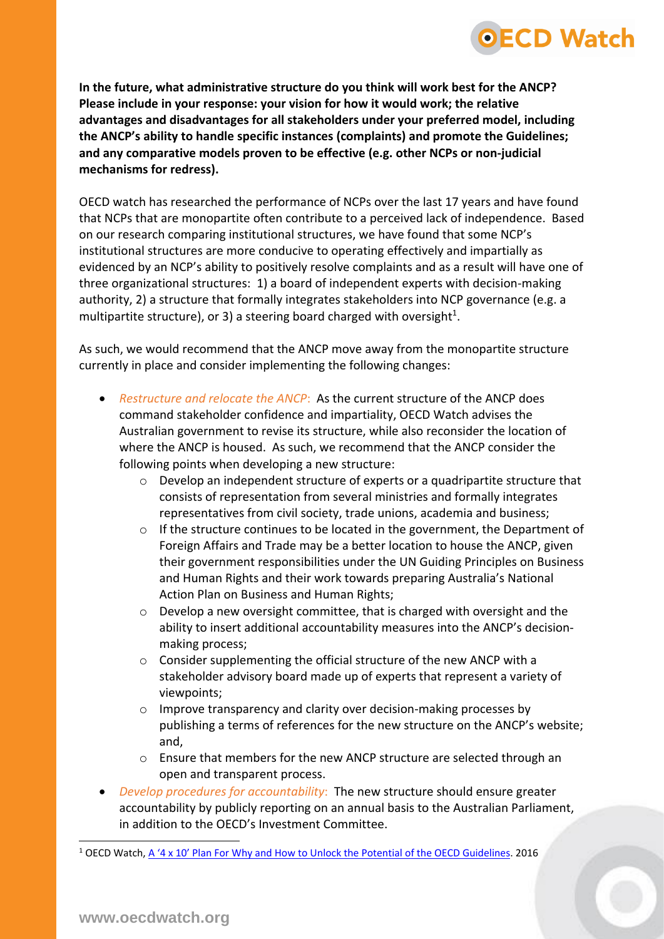**In the future, what administrative structure do you think will work best for the ANCP? Please include in your response: your vision for how it would work; the relative advantages and disadvantages for all stakeholders under your preferred model, including the ANCP's ability to handle specific instances (complaints) and promote the Guidelines; and any comparative models proven to be effective (e.g. other NCPs or non-judicial mechanisms for redress).** 

**OECD Watch** 

OECD watch has researched the performance of NCPs over the last 17 years and have found that NCPs that are monopartite often contribute to a perceived lack of independence. Based on our research comparing institutional structures, we have found that some NCP's institutional structures are more conducive to operating effectively and impartially as evidenced by an NCP's ability to positively resolve complaints and as a result will have one of three organizational structures: 1) a board of independent experts with decision-making authority, 2) a structure that formally integrates stakeholders into NCP governance (e.g. a multipartite structure), or 3) a steering board charged with oversight<sup>1</sup>.

As such, we would recommend that the ANCP move away from the monopartite structure currently in place and consider implementing the following changes:

- *Restructure and relocate the ANCP*: As the current structure of the ANCP does command stakeholder confidence and impartiality, OECD Watch advises the Australian government to revise its structure, while also reconsider the location of where the ANCP is housed. As such, we recommend that the ANCP consider the following points when developing a new structure:
	- o Develop an independent structure of experts or a quadripartite structure that consists of representation from several ministries and formally integrates representatives from civil society, trade unions, academia and business;
	- $\circ$  If the structure continues to be located in the government, the Department of Foreign Affairs and Trade may be a better location to house the ANCP, given their government responsibilities under the UN Guiding Principles on Business and Human Rights and their work towards preparing Australia's National Action Plan on Business and Human Rights;
	- o Develop a new oversight committee, that is charged with oversight and the ability to insert additional accountability measures into the ANCP's decisionmaking process;
	- o Consider supplementing the official structure of the new ANCP with a stakeholder advisory board made up of experts that represent a variety of viewpoints;
	- o Improve transparency and clarity over decision-making processes by publishing a terms of references for the new structure on the ANCP's website; and,
	- o Ensure that members for the new ANCP structure are selected through an open and transparent process.
- *Develop procedures for accountability*: The new structure should ensure greater accountability by publicly reporting on an annual basis to the Australian Parliament, in addition to the OECD's Investment Committee.

-

<sup>&</sup>lt;sup>1</sup> OECD Watch, [A '4 x 10' Plan For Why and How to Unlock the Potential of the OECD Guidelines](https://www.oecdwatch.org/news-en/a-201c4x10201d-plan-for-why-and-how-to-unlock-the-potential-of-the-oecd-guidelines). 2016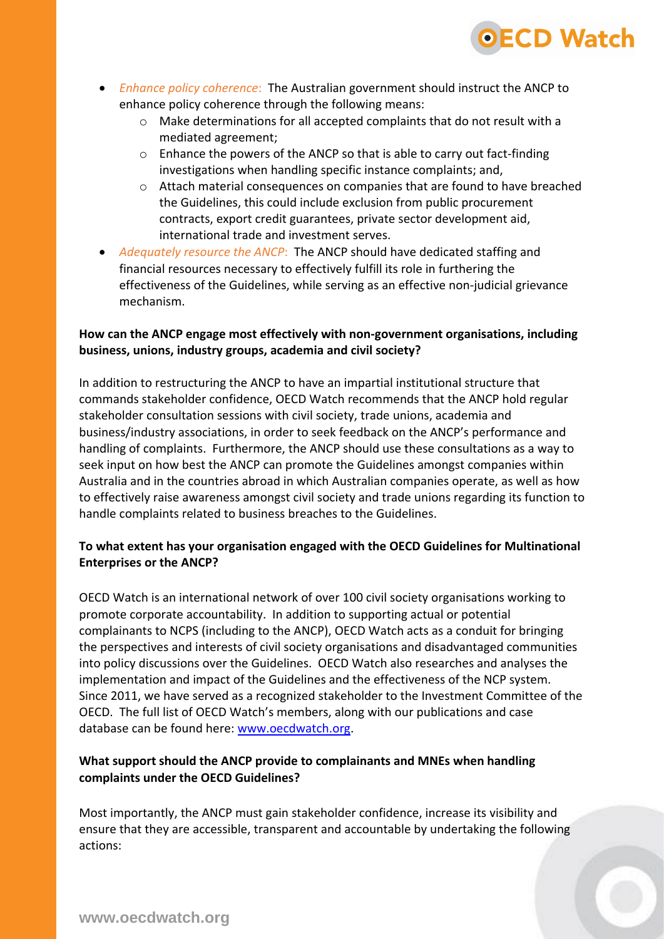

- *Enhance policy coherence*: The Australian government should instruct the ANCP to enhance policy coherence through the following means:
	- o Make determinations for all accepted complaints that do not result with a mediated agreement;
	- o Enhance the powers of the ANCP so that is able to carry out fact-finding investigations when handling specific instance complaints; and,
	- o Attach material consequences on companies that are found to have breached the Guidelines, this could include exclusion from public procurement contracts, export credit guarantees, private sector development aid, international trade and investment serves.
- *Adequately resource the ANCP*: The ANCP should have dedicated staffing and financial resources necessary to effectively fulfill its role in furthering the effectiveness of the Guidelines, while serving as an effective non-judicial grievance mechanism.

## **How can the ANCP engage most effectively with non-government organisations, including business, unions, industry groups, academia and civil society?**

In addition to restructuring the ANCP to have an impartial institutional structure that commands stakeholder confidence, OECD Watch recommends that the ANCP hold regular stakeholder consultation sessions with civil society, trade unions, academia and business/industry associations, in order to seek feedback on the ANCP's performance and handling of complaints. Furthermore, the ANCP should use these consultations as a way to seek input on how best the ANCP can promote the Guidelines amongst companies within Australia and in the countries abroad in which Australian companies operate, as well as how to effectively raise awareness amongst civil society and trade unions regarding its function to handle complaints related to business breaches to the Guidelines.

## **To what extent has your organisation engaged with the OECD Guidelines for Multinational Enterprises or the ANCP?**

OECD Watch is an international network of over 100 civil society organisations working to promote corporate accountability. In addition to supporting actual or potential complainants to NCPS (including to the ANCP), OECD Watch acts as a conduit for bringing the perspectives and interests of civil society organisations and disadvantaged communities into policy discussions over the Guidelines. OECD Watch also researches and analyses the implementation and impact of the Guidelines and the effectiveness of the NCP system. Since 2011, we have served as a recognized stakeholder to the Investment Committee of the OECD. The full list of OECD Watch's members, along with our publications and case database can be found here: [www.oecdwatch.org.](http://www.oecdwatch.org/)

## **What support should the ANCP provide to complainants and MNEs when handling complaints under the OECD Guidelines?**

Most importantly, the ANCP must gain stakeholder confidence, increase its visibility and ensure that they are accessible, transparent and accountable by undertaking the following actions: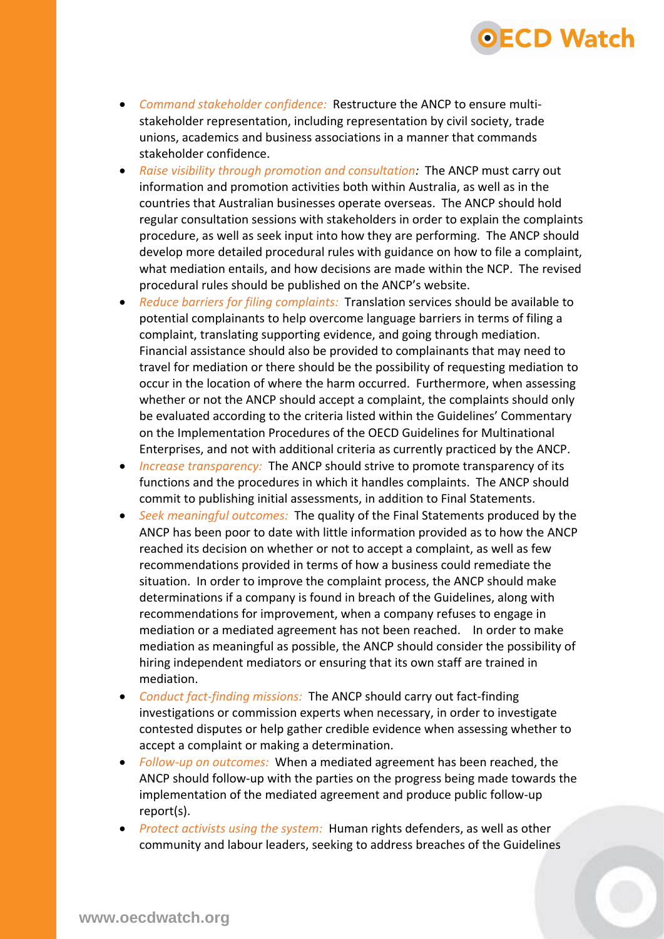• *Command stakeholder confidence:* Restructure the ANCP to ensure multistakeholder representation, including representation by civil society, trade unions, academics and business associations in a manner that commands stakeholder confidence.

OECD Watch

- *Raise visibility through promotion and consultation:* The ANCP must carry out information and promotion activities both within Australia, as well as in the countries that Australian businesses operate overseas. The ANCP should hold regular consultation sessions with stakeholders in order to explain the complaints procedure, as well as seek input into how they are performing. The ANCP should develop more detailed procedural rules with guidance on how to file a complaint, what mediation entails, and how decisions are made within the NCP. The revised procedural rules should be published on the ANCP's website.
- *Reduce barriers for filing complaints:* Translation services should be available to potential complainants to help overcome language barriers in terms of filing a complaint, translating supporting evidence, and going through mediation. Financial assistance should also be provided to complainants that may need to travel for mediation or there should be the possibility of requesting mediation to occur in the location of where the harm occurred. Furthermore, when assessing whether or not the ANCP should accept a complaint, the complaints should only be evaluated according to the criteria listed within the Guidelines' Commentary on the Implementation Procedures of the OECD Guidelines for Multinational Enterprises, and not with additional criteria as currently practiced by the ANCP.
- *Increase transparency:* The ANCP should strive to promote transparency of its functions and the procedures in which it handles complaints. The ANCP should commit to publishing initial assessments, in addition to Final Statements.
- *Seek meaningful outcomes:* The quality of the Final Statements produced by the ANCP has been poor to date with little information provided as to how the ANCP reached its decision on whether or not to accept a complaint, as well as few recommendations provided in terms of how a business could remediate the situation. In order to improve the complaint process, the ANCP should make determinations if a company is found in breach of the Guidelines, along with recommendations for improvement, when a company refuses to engage in mediation or a mediated agreement has not been reached. In order to make mediation as meaningful as possible, the ANCP should consider the possibility of hiring independent mediators or ensuring that its own staff are trained in mediation.
- *Conduct fact-finding missions:* The ANCP should carry out fact-finding investigations or commission experts when necessary, in order to investigate contested disputes or help gather credible evidence when assessing whether to accept a complaint or making a determination.
- *Follow-up on outcomes:* When a mediated agreement has been reached, the ANCP should follow-up with the parties on the progress being made towards the implementation of the mediated agreement and produce public follow-up report(s).
- *Protect activists using the system:* Human rights defenders, as well as other community and labour leaders, seeking to address breaches of the Guidelines